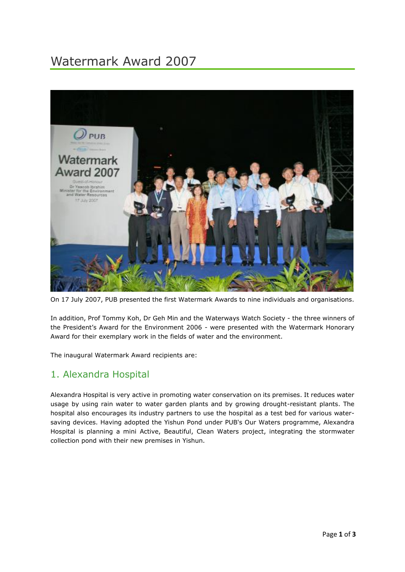# Watermark Award 2007



On 17 July 2007, PUB presented the first Watermark Awards to nine individuals and organisations.

In addition, Prof Tommy Koh, Dr Geh Min and the Waterways Watch Society - the three winners of the President's Award for the Environment 2006 - were presented with the Watermark Honorary Award for their exemplary work in the fields of water and the environment.

The inaugural Watermark Award recipients are:

#### 1. Alexandra Hospital

Alexandra Hospital is very active in promoting water conservation on its premises. It reduces water usage by using rain water to water garden plants and by growing drought-resistant plants. The hospital also encourages its industry partners to use the hospital as a test bed for various watersaving devices. Having adopted the Yishun Pond under PUB's Our Waters programme, Alexandra Hospital is planning a mini [Active, Beautiful, Clean Waters](http://www.pub.gov.sg/abcwaters) project, integrating the stormwater collection pond with their new premises in Yishun.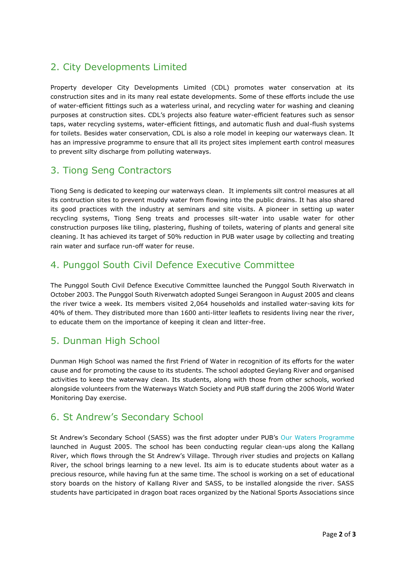## 2. City Developments Limited

Property developer City Developments Limited (CDL) promotes water conservation at its construction sites and in its many real estate developments. Some of these efforts include the use of water-efficient fittings such as a waterless urinal, and recycling water for washing and cleaning purposes at construction sites. CDL's projects also feature water-efficient features such as sensor taps, water recycling systems, water-efficient fittings, and automatic flush and dual-flush systems for toilets. Besides water conservation, CDL is also a role model in keeping our waterways clean. It has an impressive programme to ensure that all its project sites implement earth control measures to prevent silty discharge from polluting waterways.

## 3. Tiong Seng Contractors

Tiong Seng is dedicated to keeping our waterways clean. It implements silt control measures at all its contruction sites to prevent muddy water from flowing into the public drains. It has also shared its good practices with the industry at seminars and site visits. A pioneer in setting up water recycling systems, Tiong Seng treats and processes silt-water into usable water for other construction purposes like tiling, plastering, flushing of toilets, watering of plants and general site cleaning. It has achieved its target of 50% reduction in PUB water usage by collecting and treating rain water and surface run-off water for reuse.

## 4. Punggol South Civil Defence Executive Committee

The Punggol South Civil Defence Executive Committee launched the Punggol South Riverwatch in October 2003. The Punggol South Riverwatch adopted Sungei Serangoon in August 2005 and cleans the river twice a week. Its members visited 2,064 households and installed water-saving kits for 40% of them. They distributed more than 1600 anti-litter leaflets to residents living near the river, to educate them on the importance of keeping it clean and litter-free.

## 5. Dunman High School

Dunman High School was named the first Friend of Water in recognition of its efforts for the water cause and for promoting the cause to its students. The school adopted Geylang River and organised activities to keep the waterway clean. Its students, along with those from other schools, worked alongside volunteers from the Waterways Watch Society and PUB staff during the 2006 World Water Monitoring Day exercise.

#### 6. St Andrew's Secondary School

St Andrew's Secondary School (SASS) was the first adopter under PUB's [Our Waters Programme](http://www.pub.gov.sg/events/ProgrammesAndEvents/Pages/Our%20Waters%20Programme.aspx) launched in August 2005. The school has been conducting regular clean-ups along the Kallang River, which flows through the St Andrew's Village. Through river studies and projects on Kallang River, the school brings learning to a new level. Its aim is to educate students about water as a precious resource, while having fun at the same time. The school is working on a set of educational story boards on the history of Kallang River and SASS, to be installed alongside the river. SASS students have participated in dragon boat races organized by the National Sports Associations since